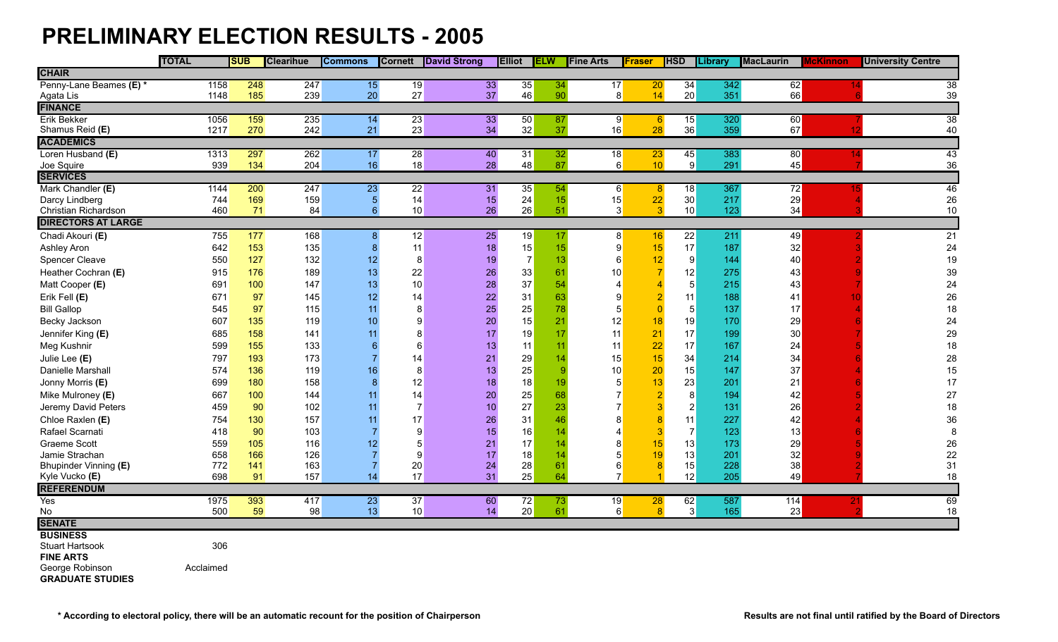## **PRELIMINARY ELECTION RESULTS - 2005**

|                           | <b>TOTAL</b> |      | <b>SUB</b> | <b>Clearihue</b> | <b>Commons</b>  | <b>Cornett</b> | <b>David Strong</b> | <b>Elliot</b>           | <b>ELW</b>       | <b>Fine Arts</b> | Fraser                     | <b>HSD</b>     | Library | <b>MacLaurin</b> | McKinnon | <b>University Centre</b> |
|---------------------------|--------------|------|------------|------------------|-----------------|----------------|---------------------|-------------------------|------------------|------------------|----------------------------|----------------|---------|------------------|----------|--------------------------|
| <b>CHAIR</b>              |              |      |            |                  |                 |                |                     |                         |                  |                  |                            |                |         |                  |          |                          |
| Penny-Lane Beames (E) *   |              | 1158 | 248        | 247              | 15              | 19             |                     | 33<br>35                | 34               | 17               | 20                         | 34             | 342     | 62               |          | 38                       |
| Agata Lis                 |              | 1148 | 185        | 239              | 20              | 27             |                     | 37<br>46                | 90               |                  | 8<br>14                    | 20             | 351     | 66               |          | 39                       |
| <b>FINANCE</b>            |              |      |            |                  |                 |                |                     |                         |                  |                  |                            |                |         |                  |          |                          |
| <b>Erik Bekker</b>        |              | 1056 | 159        | 235              | 14              | 23             |                     | 33<br>50                | 87               |                  | 9 <br>$6 \,$               | 15             | 320     | 60               |          | 38                       |
| Shamus Reid (E)           |              | 1217 | 270        | 242              | 21              | 23             |                     | 32<br>34                | 37               | 16               | 28                         | 36             | 359     | 67               | 12       | 40                       |
| <b>ACADEMICS</b>          |              |      |            |                  |                 |                |                     |                         |                  |                  |                            |                |         |                  |          |                          |
| Loren Husband (E)         |              | 1313 | 297        | 262              | 17              | 28             |                     | 40<br>31                | 32               | 18               | 23                         | 45             | 383     | 80               |          | 43                       |
| Joe Squire                |              | 939  | 134        | 204              | 16              | 18             |                     | 28<br>48                | 87               |                  | 6<br>10 <sup>°</sup>       | 9              | 291     | 45               |          | 36                       |
| <b>SERVICES</b>           |              |      |            |                  |                 |                |                     |                         |                  |                  |                            |                |         |                  |          |                          |
| Mark Chandler (E)         |              | 1144 | 200        | 247              | 23              | 22             |                     | 31<br>35                | 54               |                  | $6 \mid$<br>8 <sup>8</sup> | 18             | 367     | 72               |          | 46                       |
| Darcy Lindberg            |              | 744  | 169        | 159              | 5 <sub>5</sub>  | 14             |                     | 24<br>15                | 15               | 15               | 22                         | 30             | 217     | 29               |          | 26                       |
| Christian Richardson      |              | 460  | 71         | 84               | $6\phantom{a}$  | 10             |                     | 26<br>26                | 51               |                  | 3<br>3                     | 10             | 123     | 34               |          | $10$                     |
| <b>DIRECTORS AT LARGE</b> |              |      |            |                  |                 |                |                     |                         |                  |                  |                            |                |         |                  |          |                          |
| Chadi Akouri (E)          |              | 755  | 177        | 168              | 8               | 12             |                     | 19<br>25                | 17               |                  | 8<br>16                    | 22             | 211     | 49               |          | 21                       |
| Ashley Aron               |              | 642  | 153        | 135              | $\bf{8}$        | 11             |                     | 15<br>18                | 15               |                  | $\boldsymbol{9}$<br>15     | 17             | 187     | 32               |          | 24                       |
| Spencer Cleave            |              | 550  | 127        | 132              | 12              | 8              |                     | $\overline{7}$<br>19    | 13               |                  | 6<br>12                    | 9              | 144     | 40               |          | 19                       |
| Heather Cochran (E)       |              | 915  | 176        | 189              | 13              | 22             |                     | 33<br>26                | 61               | 10               |                            | 12             | 275     | 43               |          | 39                       |
| Matt Cooper (E)           |              | 691  | 100        | 147              | 13              | 10             |                     | 37<br>28                | 54               |                  | 4                          | 5 <sup>5</sup> | 215     | 43               |          | 24                       |
| Erik Fell (E)             |              | 671  | 97         | 145              | 12              | 14             |                     | 31<br>$22 \overline{)}$ | 63               |                  | 9                          | 11             | 188     | 41               |          | 26                       |
| <b>Bill Gallop</b>        |              | 545  | 97         | 115              | 11              | 8              |                     | 25<br>25                | 78               |                  | 5                          | 5 <sup>5</sup> | 137     | 17               |          | 18                       |
| Becky Jackson             |              | 607  | 135        | 119              | 10              | 9              |                     | 20<br>15                | 21               | 12               | 18                         | 19             | 170     | 29               |          | 24                       |
| Jennifer King (E)         |              | 685  | 158        | 141              | 11              | 8              |                     | 19<br>17                | 17               | 11               | 21                         | 17             | 199     | 30               |          | 29                       |
| Meg Kushnir               |              | 599  | 155        | 133              |                 | 6              |                     | 13<br>11                | 11               | 11               | 22                         | 17             | 167     | 24               |          | 18                       |
| Julie Lee (E)             |              | 797  | 193        | 173              |                 | 14             |                     | 29<br>21                | 14               | 15               | 15                         | 34             | 214     | 34               |          | 28                       |
| Danielle Marshall         |              | 574  | 136        | 119              | 16              | 8              |                     | 25<br>13                | $\boldsymbol{9}$ | 10               | 20                         | 15             | 147     | 37               |          | 15                       |
| Jonny Morris (E)          |              | 699  | 180        | 158              | 8               | 12             |                     | 18<br>18                | 19               |                  | 13<br>5                    | 23             | 201     | 21               |          | 17                       |
| Mike Mulroney (E)         |              | 667  | 100        | 144              | 11              | 14             |                     | 25<br>20                | 68               |                  | $\overline{7}$             | 8              | 194     | 42               |          | 27                       |
| Jeremy David Peters       |              | 459  | 90         | 102              | 11              | $\overline{7}$ |                     | 27<br>10                | 23               |                  | $\overline{7}$             | $2\vert$       | 131     | 26               |          | 18                       |
| Chloe Raxlen (E)          |              | 754  | 130        | 157              | 11              | 17             |                     | 31<br>26                | 46               |                  | 8                          | 11             | 227     | 42               |          | $36\,$                   |
| Rafael Scarnati           |              | 418  | 90         | 103              |                 | 9              |                     | 16<br>15                | 14               |                  | Δ                          | $\overline{7}$ | 123     | 13               |          | 8                        |
| <b>Graeme Scott</b>       |              | 559  | 105        | 116              | 12 <sub>2</sub> | 5              |                     | 17<br>21                | 14               |                  | 8<br>15                    | 13             | 173     | 29               |          | 26                       |
| Jamie Strachan            |              | 658  | 166        | 126              |                 | 9              |                     | 18<br>17                | 14               |                  | 5<br>19                    | 13             | 201     | 32               |          | 22                       |
| Bhupinder Vinning (E)     |              | 772  | 141        | 163              | $\overline{7}$  | 20             |                     | 24<br>28                | 61               |                  | 6                          | 15             | 228     | 38               |          | 31                       |
| Kyle Vucko (E)            |              | 698  | 91         | 157              | 14              | 17             |                     | 31<br>25                | 64               |                  | $\overline{7}$             | 12             | 205     | 49               |          | 18                       |
| <b>REFERENDUM</b>         |              |      |            |                  |                 |                |                     |                         |                  |                  |                            |                |         |                  |          |                          |
| Yes                       |              | 1975 | 393        | 417              | 23              | 37             |                     | 60<br>72                | 73               | 19               | 28                         | 62             | 587     | 114              |          | 69                       |
| No                        |              | 500  | 59         | 98               | 13              | 10             |                     | 20<br>14                | 61               |                  | 6<br>8                     | 3              | 165     | 23               |          | 18                       |
| <b>SENATE</b>             |              |      |            |                  |                 |                |                     |                         |                  |                  |                            |                |         |                  |          |                          |
| <b>BUSINESS</b>           |              |      |            |                  |                 |                |                     |                         |                  |                  |                            |                |         |                  |          |                          |
| <b>Stuart Hartsook</b>    |              | 306  |            |                  |                 |                |                     |                         |                  |                  |                            |                |         |                  |          |                          |
| <b>FINE ARTS</b>          |              |      |            |                  |                 |                |                     |                         |                  |                  |                            |                |         |                  |          |                          |
| George Robinson           | Acclaimed    |      |            |                  |                 |                |                     |                         |                  |                  |                            |                |         |                  |          |                          |

**GRADUATE STUDIES**